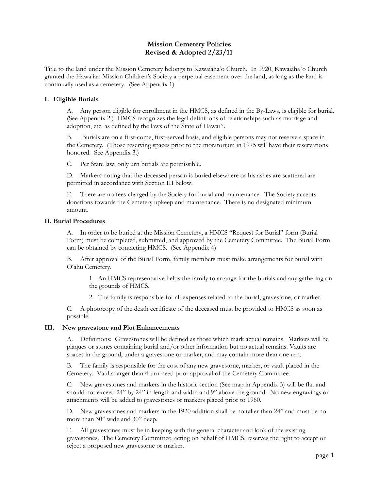### **Mission Cemetery Policies Revised & Adopted 2/23/11**

Title to the land under the Mission Cemetery belongs to Kawaiaha'o Church. In 1920, Kawaiaha`o Church granted the Hawaiian Mission Children's Society a perpetual easement over the land, as long as the land is continually used as a cemetery. (See Appendix 1)

#### **I. Eligible Burials**

A. Any person eligible for enrollment in the HMCS, as defined in the By-Laws, is eligible for burial. (See Appendix 2.) HMCS recognizes the legal definitions of relationships such as marriage and adoption, etc. as defined by the laws of the State of Hawai`i.

B. Burials are on a first-come, first-served basis, and eligible persons may not reserve a space in the Cemetery. (Those reserving spaces prior to the moratorium in 1975 will have their reservations honored. See Appendix 3.)

C. Per State law, only urn burials are permissible.

D. Markers noting that the deceased person is buried elsewhere or his ashes are scattered are permitted in accordance with Section III below.

E. There are no fees charged by the Society for burial and maintenance. The Society accepts donations towards the Cemetery upkeep and maintenance. There is no designated minimum amount.

#### **II. Burial Procedures**

A. In order to be buried at the Mission Cemetery, a HMCS "Request for Burial" form (Burial Form) must be completed, submitted, and approved by the Cemetery Committee. The Burial Form can be obtained by contacting HMCS. (See Appendix 4)

B. After approval of the Burial Form, family members must make arrangements for burial with O'ahu Cemetery.

1. An HMCS representative helps the family to arrange for the burials and any gathering on the grounds of HMCS.

2. The family is responsible for all expenses related to the burial, gravestone, or marker.

C. A photocopy of the death certificate of the deceased must be provided to HMCS as soon as possible.

#### **III. New gravestone and Plot Enhancements**

A. Definitions: Gravestones will be defined as those which mark actual remains. Markers will be plaques or stones containing burial and/or other information but no actual remains. Vaults are spaces in the ground, under a gravestone or marker, and may contain more than one urn.

B. The family is responsible for the cost of any new gravestone, marker, or vault placed in the Cemetery. Vaults larger than 4-urn need prior approval of the Cemetery Committee.

C. New gravestones and markers in the historic section (See map in Appendix 3) will be flat and should not exceed 24" by 24" in length and width and 9" above the ground. No new engravings or attachments will be added to gravestones or markers placed prior to 1960.

D. New gravestones and markers in the 1920 addition shall be no taller than 24" and must be no more than 30" wide and 30" deep.

E. All gravestones must be in keeping with the general character and look of the existing gravestones. The Cemetery Committee, acting on behalf of HMCS, reserves the right to accept or reject a proposed new gravestone or marker.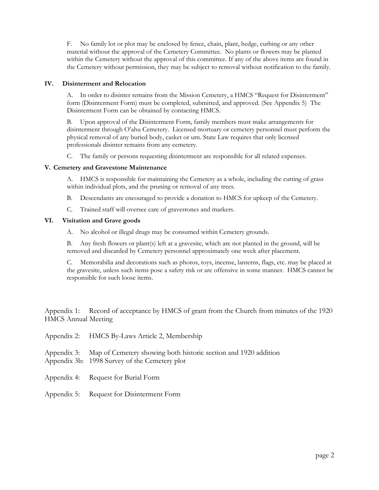F. No family lot or plot may be enclosed by fence, chain, plant, hedge, curbing or any other material without the approval of the Cemetery Committee. No plants or flowers may be planted within the Cemetery without the approval of this committee. If any of the above items are found in the Cemetery without permission, they may be subject to removal without notification to the family.

#### **IV. Disinterment and Relocation**

A. In order to disinter remains from the Mission Cemetery, a HMCS "Request for Disinterment" form (Disinterment Form) must be completed, submitted, and approved. (See Appendix 5) The Disinterment Form can be obtained by contacting HMCS.

B. Upon approval of the Disinterment Form, family members must make arrangements for disinterment through O'ahu Cemetery. Licensed mortuary or cemetery personnel must perform the physical removal of any buried body, casket or urn. State Law requires that only licensed professionals disinter remains from any cemetery.

C. The family or persons requesting disinterment are responsible for all related expenses.

#### **V. Cemetery and Gravestone Maintenance**

A. HMCS is responsible for maintaining the Cemetery as a whole, including the cutting of grass within individual plots, and the pruning or removal of any trees.

- B. Descendants are encouraged to provide a donation to HMCS for upkeep of the Cemetery.
- C. Trained staff will oversee care of gravestones and markers.

#### **VI. Visitation and Grave goods**

A. No alcohol or illegal drugs may be consumed within Cemetery grounds.

B. Any fresh flowers or plant(s) left at a gravesite, which are not planted in the ground, will be removed and discarded by Cemetery personnel approximately one week after placement.

C. Memorabilia and decorations such as photos, toys, incense, lanterns, flags, etc. may be placed at the gravesite, unless such items pose a safety risk or are offensive in some manner. HMCS cannot be responsible for such loose items.

Appendix 1: Record of acceptance by HMCS of grant from the Church from minutes of the 1920 HMCS Annual Meeting

| Appendix 2: HMCS By-Laws Article 2, Membership                                                                               |
|------------------------------------------------------------------------------------------------------------------------------|
| Appendix 3: Map of Cemetery showing both historic section and 1920 addition<br>Appendix 3b: 1998 Survey of the Cemetery plot |
| Appendix 4: Request for Burial Form                                                                                          |

Appendix 5: Request for Disinterment Form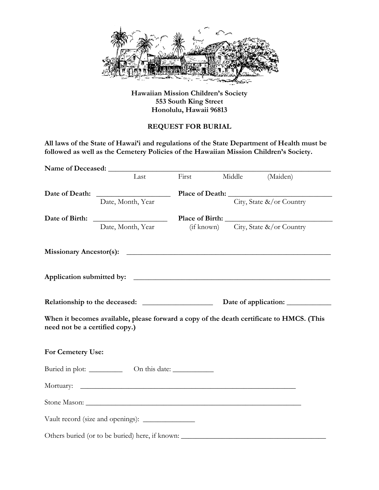

## **Hawaiian Mission Children's Society 553 South King Street Honolulu, Hawaii 96813**

## **REQUEST FOR BURIAL**

**All laws of the State of Hawai'i and regulations of the State Department of Health must be followed as well as the Cemetery Policies of the Hawaiian Mission Children's Society.** 

|                                | Last                                                                                     | First |  | Middle (Maiden)                          |  |  |
|--------------------------------|------------------------------------------------------------------------------------------|-------|--|------------------------------------------|--|--|
|                                |                                                                                          |       |  |                                          |  |  |
|                                | Date, Month, Year                                                                        |       |  | City, State &/or Country                 |  |  |
|                                |                                                                                          |       |  |                                          |  |  |
|                                | Date, Month, Year                                                                        |       |  | (if known) City, State $\&\/$ or Country |  |  |
|                                |                                                                                          |       |  |                                          |  |  |
|                                |                                                                                          |       |  |                                          |  |  |
|                                |                                                                                          |       |  |                                          |  |  |
| need not be a certified copy.) | When it becomes available, please forward a copy of the death certificate to HMCS. (This |       |  |                                          |  |  |
| For Cemetery Use:              |                                                                                          |       |  |                                          |  |  |
|                                |                                                                                          |       |  |                                          |  |  |
|                                |                                                                                          |       |  |                                          |  |  |
|                                |                                                                                          |       |  |                                          |  |  |
|                                |                                                                                          |       |  |                                          |  |  |
|                                | Others buried (or to be buried) here, if known:                                          |       |  |                                          |  |  |